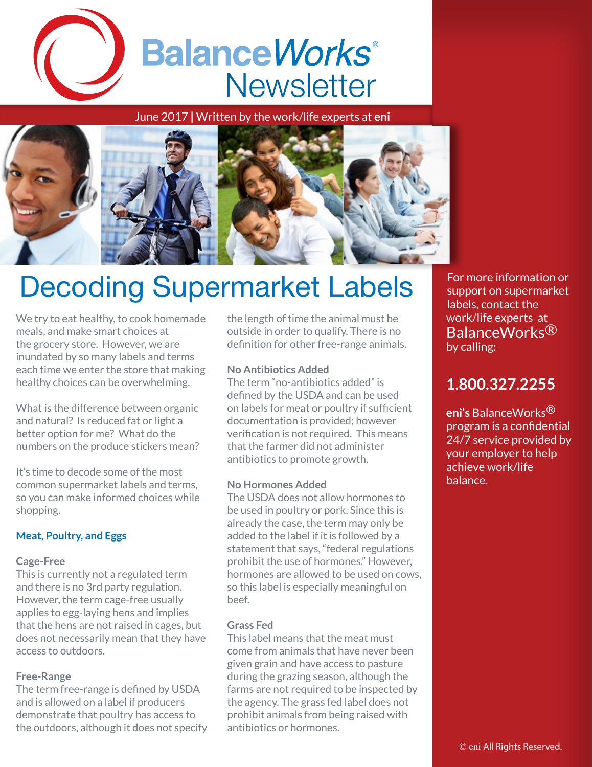

June 2017 **|** Written by the work/life experts at **eni**



# Decoding Supermarket Labels

We try to eat healthy, to cook homemade meals, and make smart choices at the grocery store. However, we are inundated by so many labels and terms each time we enter the store that making healthy choices can be overwhelming.

What is the difference between organic and natural? Is reduced fat or light a better option for me? What do the numbers on the produce stickers mean?

It's time to decode some of the most common supermarket labels and terms, so you can make informed choices while shopping.

# **Meat, Poultry, and Eggs**

# **Cage-Free**

This is currently not a regulated term and there is no 3rd party regulation. However, the term cage-free usually applies to egg-laying hens and implies that the hens are not raised in cages, but does not necessarily mean that they have access to outdoors.

# **Free-Range**

The term free-range is defined by USDA and is allowed on a label if producers demonstrate that poultry has access to the outdoors, although it does not specify the length of time the animal must be outside in order to qualify. There is no definition for other free-range animals.

# **No Antibiotics Added**

The term "no-antibiotics added" is defined by the USDA and can be used on labels for meat or poultry if sufficient documentation is provided; however verification is not required. This means that the farmer did not administer antibiotics to promote growth.

# **No Hormones Added**

The USDA does not allow hormones to be used in poultry or pork. Since this is already the case, the term may only be added to the label if it is followed by a statement that says, "federal regulations prohibit the use of hormones." However, hormones are allowed to be used on cows, so this label is especially meaningful on beef.

# **Grass Fed**

This label means that the meat must come from animals that have never been given grain and have access to pasture during the grazing season, although the farms are not required to be inspected by the agency. The grass fed label does not prohibit animals from being raised with antibiotics or hormones.

For more information or support on supermarket labels, contact the work/life experts at BalanceWorks<sup>®</sup> by calling:

# **1.800.327.2255**

**eni's** BalanceWorks® program is a confidential 24/7 service provided by your employer to help achieve work/life balance.